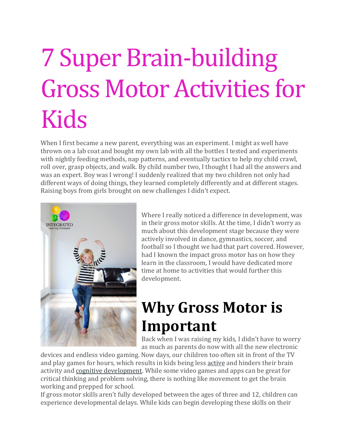# 7 Super Brain-building Gross Motor Activities for Kids

When I first became a new parent, everything was an experiment. I might as well have thrown on a lab coat and bought my own lab with all the bottles I tested and experiments with nightly feeding methods, nap patterns, and eventually tactics to help my child crawl, roll over, grasp objects, and walk. By child number two, I thought I had all the answers and was an expert. Boy was I wrong! I suddenly realized that my two children not only had different ways of doing things, they learned completely differently and at different stages. Raising boys from girls brought on new challenges I didn't expect.



Where I really noticed a difference in development, was in their gross motor skills. At the time, I didn't worry as much about this development stage because they were actively involved in dance, gymnastics, soccer, and football so I thought we had that part covered. However, had I known the impact gross motor has on how they learn in the classroom, I would have dedicated more time at home to activities that would further this development.

# **Why Gross Motor is Important**

Back when I was raising my kids, I didn't have to worry as much as parents do now with all the new electronic

devices and endless video gaming. Now days, our children too often sit in front of the TV and play games for hours, which results in kids being less [active](http://dailydigestnews.com/2014/09/higher-physical-activity-levels-linked-to-better-academic-performance-among-boys/) and hinders their brain activity and cognitive [development.](http://journal.frontiersin.org/Journal/10.3389/fnhum.2014.00584/full) While some video games and apps can be great for critical thinking and problem solving, there is nothing like movement to get the brain working and prepped for school.

If gross motor skills aren't fully developed between the ages of three and 12, children can experience developmental delays. While kids can begin developing these skills on their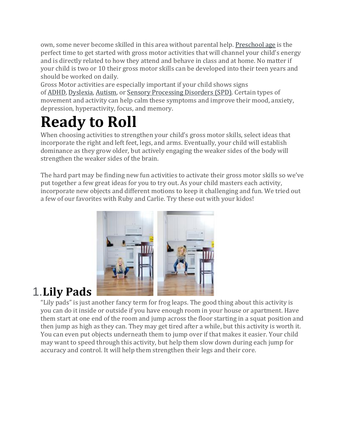own, some never become skilled in this area without parental help. [Preschool](http://everydaylife.globalpost.com/important-develop-gross-motor-skills-preschool-children-4262.html) age is the perfect time to get started with gross motor activities that will channel your child's energy and is directly related to how they attend and behave in class and at home. No matter if your child is two or 10 their gross motor skills can be developed into their teen years and should be worked on daily.

Gross Motor activities are especially important if your child shows signs of [ADHD,](http://www.webmd.com/add-adhd/default.htm) [Dyslexia,](http://www.webmd.com/children/tc/dyslexia-overview) [Autism,](http://www.webmd.com/brain/autism/default.htm) or Sensory [Processing](http://www.webmd.com/parenting/sensory-processing-disorder) Disorders (SPD). Certain types of movement and activity can help calm these symptoms and improve their mood, anxiety, depression, hyperactivity, focus, and memory.

# **Ready to Roll**

When choosing activities to strengthen your child's gross motor skills, select ideas that incorporate the right and left feet, legs, and arms. Eventually, your child will establish dominance as they grow older, but actively engaging the weaker sides of the body will strengthen the weaker sides of the brain.

The hard part may be finding new fun activities to activate their gross motor skills so we've put together a few great ideas for you to try out. As your child masters each activity, incorporate new objects and different motions to keep it challenging and fun. We tried out a few of our favorites with Ruby and Carlie. Try these out with your kidos!



# 1.**Lily Pad[s](http://www.ilslearning.com/?attachment_id=860)**

"Lily pads" is just another fancy term for frog leaps. The good thing about this activity is you can do it inside or outside if you have enough room in your house or apartment. Have them start at one end of the room and jump across the floor starting in a squat position and then jump as high as they can. They may get tired after a while, but this activity is worth it. You can even put objects underneath them to jump over if that makes it easier. Your child may want to speed through this activity, but help them slow down during each jump for accuracy and control. It will help them strengthen their legs and their core.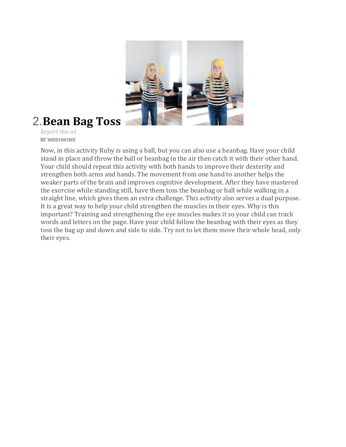

### 2.**Bean Bag Tos[s](http://www.ilslearning.com/?attachment_id=856)**

Report this ad **III'** MEDIAVINE

Now, in this activity Ruby is using a ball, but you can also use a beanbag. Have your child stand in place and throw the ball or beanbag in the air then catch it with their other hand. Your child should repeat this activity with both hands to improve their dexterity and strengthen both arms and hands. The movement from one hand to another helps the weaker parts of the brain and improves cognitive development. After they have mastered the exercise while standing still, have them toss the beanbag or ball while walking in a straight line, which gives them an extra challenge. This activity also serves a dual purpose. It is a great way to help your child strengthen the muscles in their eyes. Why is this important? Training and strengthening the eye muscles makes it so your child can track words and letters on the page. Have your child follow the beanbag with their eyes as they toss the bag up and down and side to side. Try not to let them move their whole head, only their eyes.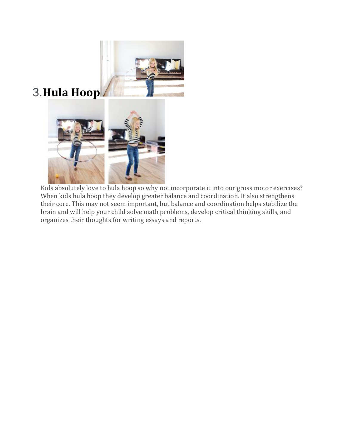

# 3.**Hula Hoo[p](http://www.ilslearning.com/?attachment_id=871)**



Kids absolutely love to hula hoop so why not incorporate it into our gross motor exercises? When kids hula hoop they develop greater balance and coordination. It also strengthens their core. This may not seem important, but balance and coordination helps stabilize the brain and will help your child solve math problems, develop critical thinking skills, and organizes their thoughts for writing essays and reports.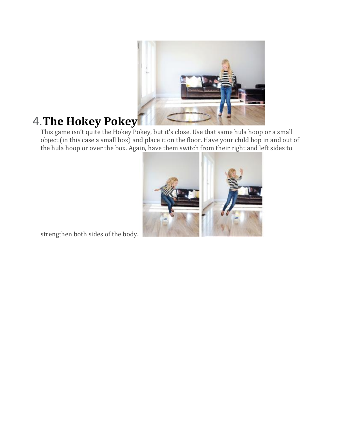

## 4.**The Hokey Pokey**

This game isn't quite the Hokey Pokey, but it's close. Use that same hula hoop or a small object (in this case a small box) and place it on the floor. Have your child hop in and out of the hula hoop or over the box. Again, have them switch from their right and left sides to



strengthen both sides of the body[.](http://www.ilslearning.com/?attachment_id=861)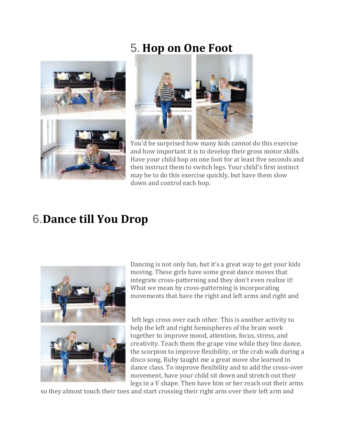#### 5. **Hop on One Foot**





You'd be surprised how many kids cannot do this exercise and how important it is to develop their gross motor skills. Have your child hop on one foot for at least five seconds and then instruct them to switch legs. Your child's first instinct may be to do this exercise quickly, but have them slow down and control each hop.

#### 6.**Dance till You Drop**



Dancing is not only fun, but it's a great way to get your kids moving. These girls have some great dance moves that integrate cross-patterning and they don't even realize it! What we mean by cross-patterning is incorporating movements that have the right and left arms and right and

left legs cross over each other. This is another activity to help the left and right hemispheres of the brain work together to improve mood, attention, focus, stress, and creativity. Teach them the grape vine while they line dance, the scorpion to improve flexibility, or the crab walk during a disco song. Ruby taught me a great move she learned in dance class. To improve flexibility and to add the cross-over movement, have your child sit down and stretch out their legs in a V shape. Then have him or her reach out their arms

so they almost touch their toes and start crossing their right arm over their left arm and